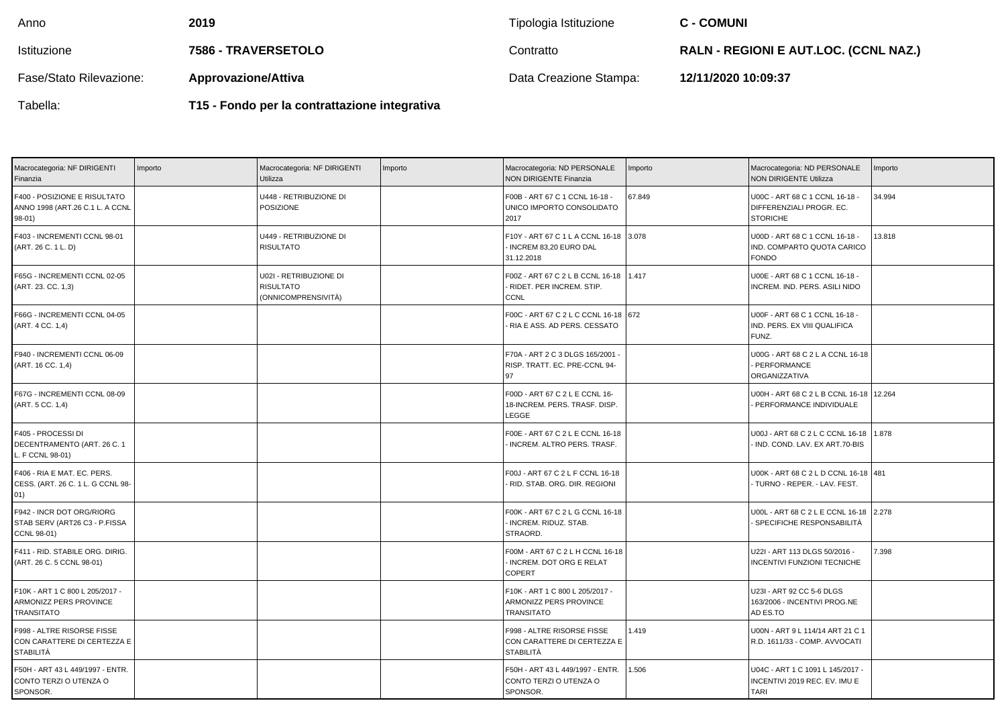| Anno                    | 2019                                          | Tipologia Istituzione  | <b>C - COMUNI</b>                            |
|-------------------------|-----------------------------------------------|------------------------|----------------------------------------------|
| Istituzione             | 7586 - TRAVERSETOLO                           | Contratto              | <b>RALN - REGIONI E AUT.LOC. (CCNL NAZ.)</b> |
| Fase/Stato Rilevazione: | <b>Approvazione/Attiva</b>                    | Data Creazione Stampa: | 12/11/2020 10:09:37                          |
| Tabella:                | T15 - Fondo per la contrattazione integrativa |                        |                                              |

| Macrocategoria: NF DIRIGENTI<br>Finanzia                                       | Importo | Macrocategoria: NF DIRIGENTI<br>Utilizza                          | Importo | Macrocategoria: ND PERSONALE<br><b>NON DIRIGENTE Finanzia</b>                       | Importo | Macrocategoria: ND PERSONALE<br><b>NON DIRIGENTE Utilizza</b>                    | mporto |
|--------------------------------------------------------------------------------|---------|-------------------------------------------------------------------|---------|-------------------------------------------------------------------------------------|---------|----------------------------------------------------------------------------------|--------|
| F400 - POSIZIONE E RISULTATO<br>ANNO 1998 (ART.26 C.1 L. A CCNL<br>98-01)      |         | U448 - RETRIBUZIONE DI<br><b>POSIZIONE</b>                        |         | F00B - ART 67 C 1 CCNL 16-18 -<br>UNICO IMPORTO CONSOLIDATO<br>2017                 | 67.849  | U00C - ART 68 C 1 CCNL 16-18 -<br>DIFFERENZIALI PROGR. EC.<br><b>STORICHE</b>    | 34.994 |
| F403 - INCREMENTI CCNL 98-01<br>(ART. 26 C. 1 L. D)                            |         | U449 - RETRIBUZIONE DI<br><b>RISULTATO</b>                        |         | F10Y - ART 67 C 1 L A CCNL 16-18 3.078<br>- INCREM 83,20 EURO DAL<br>31.12.2018     |         | U00D - ART 68 C 1 CCNL 16-18 -<br>IND. COMPARTO QUOTA CARICO<br><b>FONDO</b>     | 13.818 |
| F65G - INCREMENTI CCNL 02-05<br>(ART. 23. CC. 1,3)                             |         | U02I - RETRIBUZIONE DI<br><b>RISULTATO</b><br>(ONNICOMPRENSIVITÀ) |         | F00Z - ART 67 C 2 L B CCNL 16-18 1.417<br>- RIDET. PER INCREM. STIP.<br><b>CCNL</b> |         | U00E - ART 68 C 1 CCNL 16-18 -<br>INCREM. IND. PERS. ASILI NIDO                  |        |
| F66G - INCREMENTI CCNL 04-05<br>(ART. 4 CC. 1,4)                               |         |                                                                   |         | F00C - ART 67 C 2 L C CCNL 16-18 672<br>- RIA E ASS. AD PERS. CESSATO               |         | U00F - ART 68 C 1 CCNL 16-18 -<br>IND. PERS. EX VIII QUALIFICA<br>FUNZ.          |        |
| F940 - INCREMENTI CCNL 06-09<br>(ART. 16 CC. 1,4)                              |         |                                                                   |         | F70A - ART 2 C 3 DLGS 165/2001<br>RISP. TRATT. EC. PRE-CCNL 94-<br>97               |         | U00G - ART 68 C 2 L A CCNL 16-18<br>- PERFORMANCE<br>ORGANIZZATIVA               |        |
| F67G - INCREMENTI CCNL 08-09<br>(ART. 5 CC. 1,4)                               |         |                                                                   |         | F00D - ART 67 C 2 L E CCNL 16-<br>18-INCREM. PERS. TRASF. DISP.<br><b>LEGGE</b>     |         | U00H - ART 68 C 2 L B CCNL 16-18   12.264<br>PERFORMANCE INDIVIDUALE             |        |
| F405 - PROCESSI DI<br>DECENTRAMENTO (ART. 26 C. 1<br>L. F CCNL 98-01)          |         |                                                                   |         | F00E - ART 67 C 2 L E CCNL 16-18<br>INCREM. ALTRO PERS. TRASF.                      |         | U00J - ART 68 C 2 L C CCNL 16-18 1.878<br>IND. COND. LAV. EX ART.70-BIS          |        |
| F406 - RIA E MAT. EC. PERS.<br>CESS. (ART. 26 C. 1 L. G CCNL 98-<br>01)        |         |                                                                   |         | F00J - ART 67 C 2 L F CCNL 16-18<br>- RID. STAB. ORG. DIR. REGIONI                  |         | U00K - ART 68 C 2 L D CCNL 16-18 481<br>TURNO - REPER. - LAV. FEST.              |        |
| F942 - INCR DOT ORG/RIORG<br>STAB SERV (ART26 C3 - P.FISSA<br>CCNL 98-01)      |         |                                                                   |         | F00K - ART 67 C 2 L G CCNL 16-18<br>- INCREM. RIDUZ. STAB.<br>STRAORD.              |         | U00L - ART 68 C 2 L E CCNL 16-18 2.278<br>- SPECIFICHE RESPONSABILITÀ            |        |
| F411 - RID. STABILE ORG. DIRIG.<br>(ART. 26 C. 5 CCNL 98-01)                   |         |                                                                   |         | F00M - ART 67 C 2 L H CCNL 16-18<br>- INCREM. DOT ORG E RELAT<br><b>COPERT</b>      |         | U22I - ART 113 DLGS 50/2016 -<br><b>INCENTIVI FUNZIONI TECNICHE</b>              | 7.398  |
| F10K - ART 1 C 800 L 205/2017 -<br>ARMONIZZ PERS PROVINCE<br><b>TRANSITATO</b> |         |                                                                   |         | F10K - ART 1 C 800 L 205/2017 -<br>ARMONIZZ PERS PROVINCE<br><b>TRANSITATO</b>      |         | U23I - ART 92 CC 5-6 DLGS<br>163/2006 - INCENTIVI PROG.NE<br>AD ES.TO            |        |
| F998 - ALTRE RISORSE FISSE<br>CON CARATTERE DI CERTEZZA E<br>STABILITÀ         |         |                                                                   |         | F998 - ALTRE RISORSE FISSE<br>CON CARATTERE DI CERTEZZA E<br><b>STABILITÀ</b>       | 1.419   | U00N - ART 9 L 114/14 ART 21 C 1<br>R.D. 1611/33 - COMP. AVVOCATI                |        |
| F50H - ART 43 L 449/1997 - ENTR.<br>CONTO TERZI O UTENZA O<br>SPONSOR.         |         |                                                                   |         | F50H - ART 43 L 449/1997 - ENTR.<br>CONTO TERZI O UTENZA O<br>SPONSOR.              | 1.506   | U04C - ART 1 C 1091 L 145/2017 -<br>INCENTIVI 2019 REC. EV. IMU E<br><b>TARI</b> |        |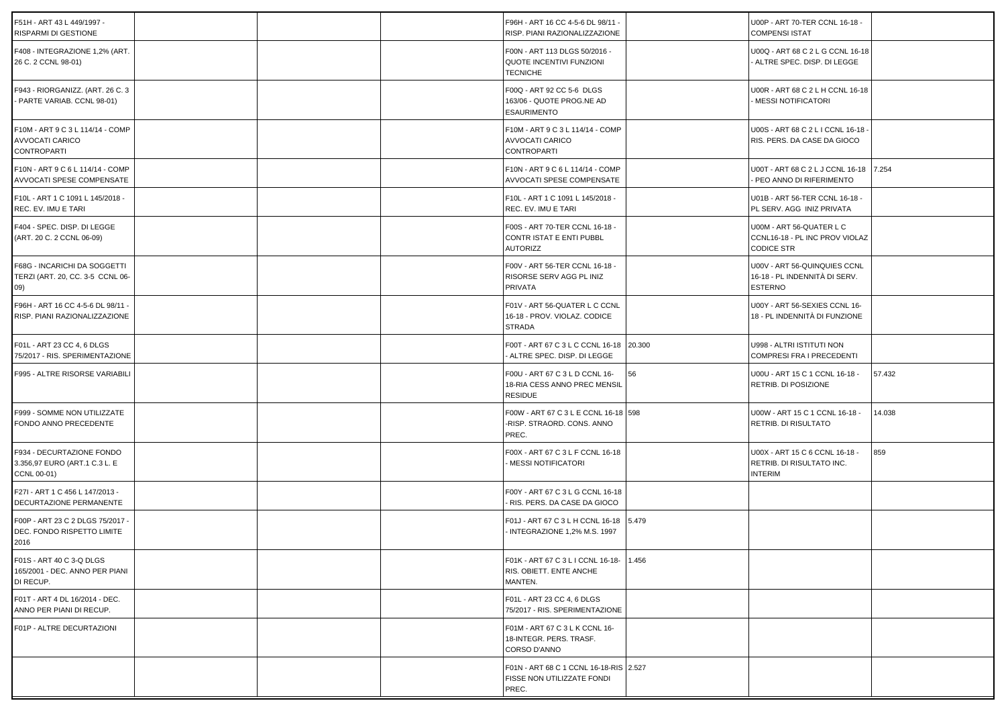| F51H - ART 43 L 449/1997 -<br>RISPARMI DI GESTIONE                        |  | F96H - ART 16 CC 4-5-6 DL 98/11 -<br>RISP. PIANI RAZIONALIZZAZIONE               |       | U00P - ART 70-TER CCNL 16-18 -<br><b>COMPENSI ISTAT</b>                         |        |
|---------------------------------------------------------------------------|--|----------------------------------------------------------------------------------|-------|---------------------------------------------------------------------------------|--------|
| F408 - INTEGRAZIONE 1,2% (ART.<br>26 C. 2 CCNL 98-01)                     |  | F00N - ART 113 DLGS 50/2016 -<br>QUOTE INCENTIVI FUNZIONI<br><b>TECNICHE</b>     |       | U00Q - ART 68 C 2 L G CCNL 16-18<br>ALTRE SPEC. DISP. DI LEGGE                  |        |
| F943 - RIORGANIZZ. (ART. 26 C. 3<br>- PARTE VARIAB. CCNL 98-01)           |  | F00Q - ART 92 CC 5-6 DLGS<br>163/06 - QUOTE PROG.NE AD<br><b>ESAURIMENTO</b>     |       | U00R - ART 68 C 2 L H CCNL 16-18<br>- MESSI NOTIFICATORI                        |        |
| F10M - ART 9 C 3 L 114/14 - COMP<br>AVVOCATI CARICO<br>CONTROPARTI        |  | F10M - ART 9 C 3 L 114/14 - COMP<br>AVVOCATI CARICO<br><b>CONTROPARTI</b>        |       | U00S - ART 68 C 2 L I CCNL 16-18 -<br>RIS. PERS. DA CASE DA GIOCO               |        |
| F10N - ART 9 C 6 L 114/14 - COMP<br>AVVOCATI SPESE COMPENSATE             |  | F10N - ART 9 C 6 L 114/14 - COMP<br>AVVOCATI SPESE COMPENSATE                    |       | U00T - ART 68 C 2 L J CCNL 16-18 7.254<br>PEO ANNO DI RIFERIMENTO               |        |
| F10L - ART 1 C 1091 L 145/2018 -<br>REC. EV. IMU E TARI                   |  | F10L - ART 1 C 1091 L 145/2018 -<br>REC. EV. IMU E TARI                          |       | U01B - ART 56-TER CCNL 16-18 -<br>PL SERV. AGG INIZ PRIVATA                     |        |
| F404 - SPEC. DISP. DI LEGGE<br>(ART. 20 C. 2 CCNL 06-09)                  |  | F00S - ART 70-TER CCNL 16-18 -<br>CONTR ISTAT E ENTI PUBBL<br><b>AUTORIZZ</b>    |       | U00M - ART 56-QUATER L C<br>CCNL16-18 - PL INC PROV VIOLAZ<br><b>CODICE STR</b> |        |
| F68G - INCARICHI DA SOGGETTI<br>TERZI (ART. 20, CC. 3-5 CCNL 06-<br>(09)  |  | F00V - ART 56-TER CCNL 16-18 -<br>RISORSE SERV AGG PL INIZ<br>PRIVATA            |       | U00V - ART 56-QUINQUIES CCNL<br>16-18 - PL INDENNITÀ DI SERV.<br><b>ESTERNO</b> |        |
| F96H - ART 16 CC 4-5-6 DL 98/11 -<br>RISP. PIANI RAZIONALIZZAZIONE        |  | F01V - ART 56-QUATER L C CCNL<br>16-18 - PROV. VIOLAZ. CODICE<br><b>STRADA</b>   |       | U00Y - ART 56-SEXIES CCNL 16-<br>18 - PL INDENNITÀ DI FUNZIONE                  |        |
| F01L - ART 23 CC 4, 6 DLGS<br>75/2017 - RIS. SPERIMENTAZIONE              |  | F00T - ART 67 C 3 L C CCNL 16-18 20.300<br>ALTRE SPEC. DISP. DI LEGGE            |       | U998 - ALTRI ISTITUTI NON<br>COMPRESI FRA I PRECEDENTI                          |        |
| F995 - ALTRE RISORSE VARIABILI                                            |  | F00U - ART 67 C 3 L D CCNL 16-<br>18-RIA CESS ANNO PREC MENSIL<br><b>RESIDUE</b> | 56    | U00U - ART 15 C 1 CCNL 16-18 -<br>RETRIB. DI POSIZIONE                          | 57.432 |
| F999 - SOMME NON UTILIZZATE<br>FONDO ANNO PRECEDENTE                      |  | F00W - ART 67 C 3 L E CCNL 16-18 598<br>-RISP. STRAORD. CONS. ANNO<br>PREC.      |       | U00W - ART 15 C 1 CCNL 16-18 -<br>RETRIB. DI RISULTATO                          | 14.038 |
| F934 - DECURTAZIONE FONDO<br>3.356,97 EURO (ART.1 C.3 L. E<br>CCNL 00-01) |  | F00X - ART 67 C 3 L F CCNL 16-18<br>MESSI NOTIFICATORI                           |       | U00X - ART 15 C 6 CCNL 16-18 -<br>RETRIB. DI RISULTATO INC.<br><b>INTERIM</b>   | 859    |
| F27I - ART 1 C 456 L 147/2013 -<br>DECURTAZIONE PERMANENTE                |  | F00Y - ART 67 C 3 L G CCNL 16-18<br>RIS. PERS. DA CASE DA GIOCO                  |       |                                                                                 |        |
| F00P - ART 23 C 2 DLGS 75/2017 -<br>DEC. FONDO RISPETTO LIMITE<br>2016    |  | F01J - ART 67 C 3 L H CCNL 16-18 5.479<br>INTEGRAZIONE 1,2% M.S. 1997            |       |                                                                                 |        |
| F01S - ART 40 C 3-Q DLGS<br>165/2001 - DEC. ANNO PER PIANI<br>DI RECUP.   |  | F01K - ART 67 C 3 L I CCNL 16-18-<br>RIS. OBIETT. ENTE ANCHE<br>MANTEN.          | 1.456 |                                                                                 |        |
| F01T - ART 4 DL 16/2014 - DEC.<br>ANNO PER PIANI DI RECUP.                |  | F01L - ART 23 CC 4, 6 DLGS<br>75/2017 - RIS. SPERIMENTAZIONE                     |       |                                                                                 |        |
| F01P - ALTRE DECURTAZIONI                                                 |  | F01M - ART 67 C 3 L K CCNL 16-<br>18-INTEGR. PERS. TRASF.<br>CORSO D'ANNO        |       |                                                                                 |        |
|                                                                           |  | F01N - ART 68 C 1 CCNL 16-18-RIS 2.527<br>FISSE NON UTILIZZATE FONDI<br>PREC.    |       |                                                                                 |        |